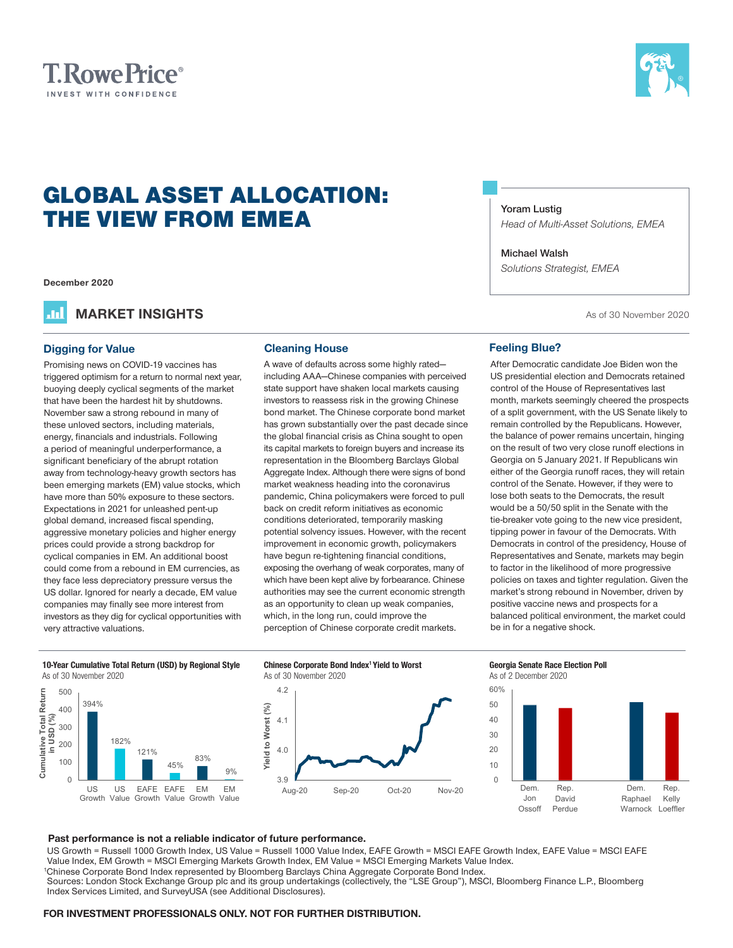



# GLOBAL ASSET ALLOCATION: THE VIEW FROM EMEA

**December 2020**

**MARKET INSIGHTS As of 30 November 2020** .m

#### **Digging for Value Cleaning House**

Promising news on COVID-19 vaccines has triggered optimism for a return to normal next year, buoying deeply cyclical segments of the market that have been the hardest hit by shutdowns. November saw a strong rebound in many of these unloved sectors, including materials, energy, financials and industrials. Following a period of meaningful underperformance, a significant beneficiary of the abrupt rotation away from technology-heavy growth sectors has been emerging markets (EM) value stocks, which have more than 50% exposure to these sectors. Expectations in 2021 for unleashed pent-up global demand, increased fiscal spending, aggressive monetary policies and higher energy prices could provide a strong backdrop for cyclical companies in EM. An additional boost could come from a rebound in EM currencies, as they face less depreciatory pressure versus the US dollar. Ignored for nearly a decade, EM value companies may finally see more interest from investors as they dig for cyclical opportunities with very attractive valuations.

A wave of defaults across some highly rated including AAA—Chinese companies with perceived state support have shaken local markets causing investors to reassess risk in the growing Chinese bond market. The Chinese corporate bond market has grown substantially over the past decade since the global financial crisis as China sought to open its capital markets to foreign buyers and increase its representation in the Bloomberg Barclays Global Aggregate Index. Although there were signs of bond market weakness heading into the coronavirus pandemic, China policymakers were forced to pull back on credit reform initiatives as economic conditions deteriorated, temporarily masking potential solvency issues. However, with the recent improvement in economic growth, policymakers have begun re-tightening financial conditions, exposing the overhang of weak corporates, many of which have been kept alive by forbearance. Chinese authorities may see the current economic strength as an opportunity to clean up weak companies, which, in the long run, could improve the perception of Chinese corporate credit markets.

#### **Yoram Lustig**

*Head of Multi‑Asset Solutions, EMEA*

#### **Michael Walsh**

*Solutions Strategist, EMEA*

#### **Feeling Blue?**

After Democratic candidate Joe Biden won the US presidential election and Democrats retained control of the House of Representatives last month, markets seemingly cheered the prospects of a split government, with the US Senate likely to remain controlled by the Republicans. However, the balance of power remains uncertain, hinging on the result of two very close runoff elections in Georgia on 5 January 2021. If Republicans win either of the Georgia runoff races, they will retain control of the Senate. However, if they were to lose both seats to the Democrats, the result would be a 50/50 split in the Senate with the tie-breaker vote going to the new vice president, tipping power in favour of the Democrats. With Democrats in control of the presidency, House of Representatives and Senate, markets may begin to factor in the likelihood of more progressive policies on taxes and tighter regulation. Given the market's strong rebound in November, driven by positive vaccine news and prospects for a balanced political environment, the market could be in for a negative shock.

**10-Year Cumulative Total Return (USD) by Regional Style** As of 30 November 2020



#### **Chinese Corporate Bond Index1 Yield to Worst** As of 30 November 2020



### **Georgia Senate Race Election Poll**



#### **Past performance is not a reliable indicator of future performance.**

US Growth = Russell 1000 Growth Index, US Value = Russell 1000 Value Index, EAFE Growth = MSCI EAFE Growth Index, EAFE Value = MSCI EAFE Value Index, EM Growth = MSCI Emerging Markets Growth Index, EM Value = MSCI Emerging Markets Value Index.

1 Chinese Corporate Bond Index represented by Bloomberg Barclays China Aggregate Corporate Bond Index.

Sources: London Stock Exchange Group plc and its group undertakings (collectively, the "LSE Group"), MSCI, Bloomberg Finance L.P., Bloomberg Index Services Limited, and SurveyUSA (see Additional Disclosures).

#### **FOR INVESTMENT PROFESSIONALS ONLY. NOT FOR FURTHER DISTRIBUTION.**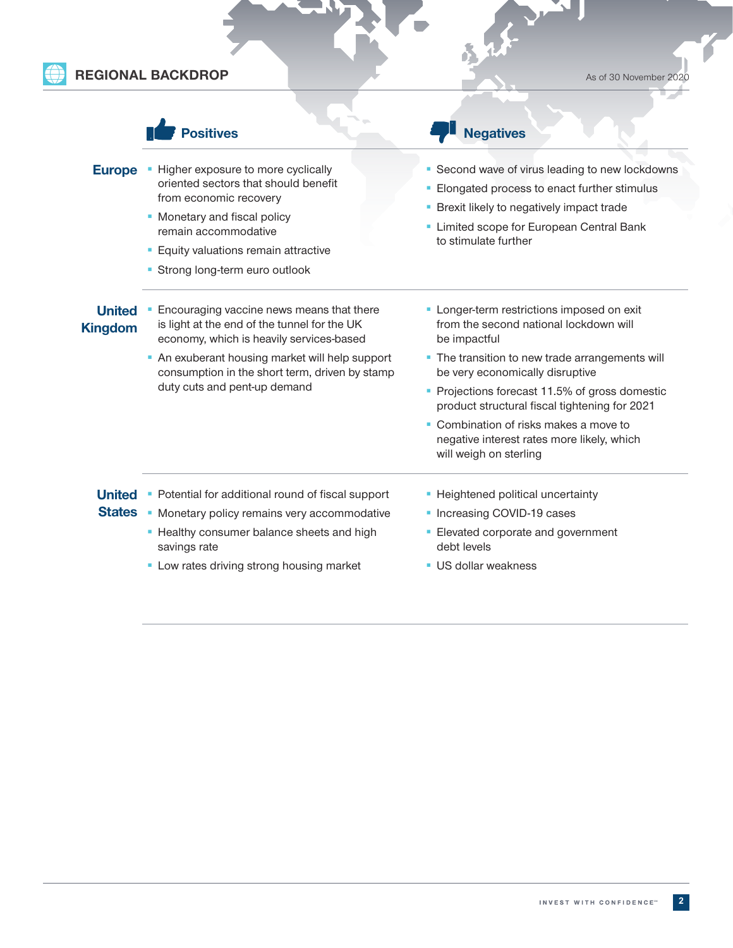## **REGIONAL BACKDROP** As of 30 November 2020

|                                 | <b>psitives</b>                                                                                                                                                                                                                                 | <b>Negatives</b>                                                                                                                                                                                                  |  |  |
|---------------------------------|-------------------------------------------------------------------------------------------------------------------------------------------------------------------------------------------------------------------------------------------------|-------------------------------------------------------------------------------------------------------------------------------------------------------------------------------------------------------------------|--|--|
| <b>Europe</b>                   | • Higher exposure to more cyclically<br>oriented sectors that should benefit<br>from economic recovery<br>• Monetary and fiscal policy<br>remain accommodative<br><b>Equity valuations remain attractive</b><br>• Strong long-term euro outlook | • Second wave of virus leading to new lockdowns<br>Elongated process to enact further stimulus<br>• Brexit likely to negatively impact trade<br>• Limited scope for European Central Bank<br>to stimulate further |  |  |
| <b>United</b><br><b>Kingdom</b> | Encouraging vaccine news means that there<br>is light at the end of the tunnel for the UK<br>economy, which is heavily services-based<br>• An exuberant housing market will help support<br>consumption in the short term, driven by stamp      | • Longer-term restrictions imposed on exit<br>from the second national lockdown will<br>be impactful<br>• The transition to new trade arrangements will<br>be very economically disruptive                        |  |  |
|                                 | duty cuts and pent-up demand                                                                                                                                                                                                                    | • Projections forecast 11.5% of gross domestic<br>product structural fiscal tightening for 2021<br>• Combination of risks makes a move to<br>negative interest rates more likely, which<br>will weigh on sterling |  |  |
| <b>United</b><br><b>States</b>  | • Potential for additional round of fiscal support<br>• Monetary policy remains very accommodative<br>• Healthy consumer balance sheets and high<br>savings rate<br>• Low rates driving strong housing market                                   | • Heightened political uncertainty<br>• Increasing COVID-19 cases<br>• Elevated corporate and government<br>debt levels<br><b>US dollar weakness</b>                                                              |  |  |

 $\delta$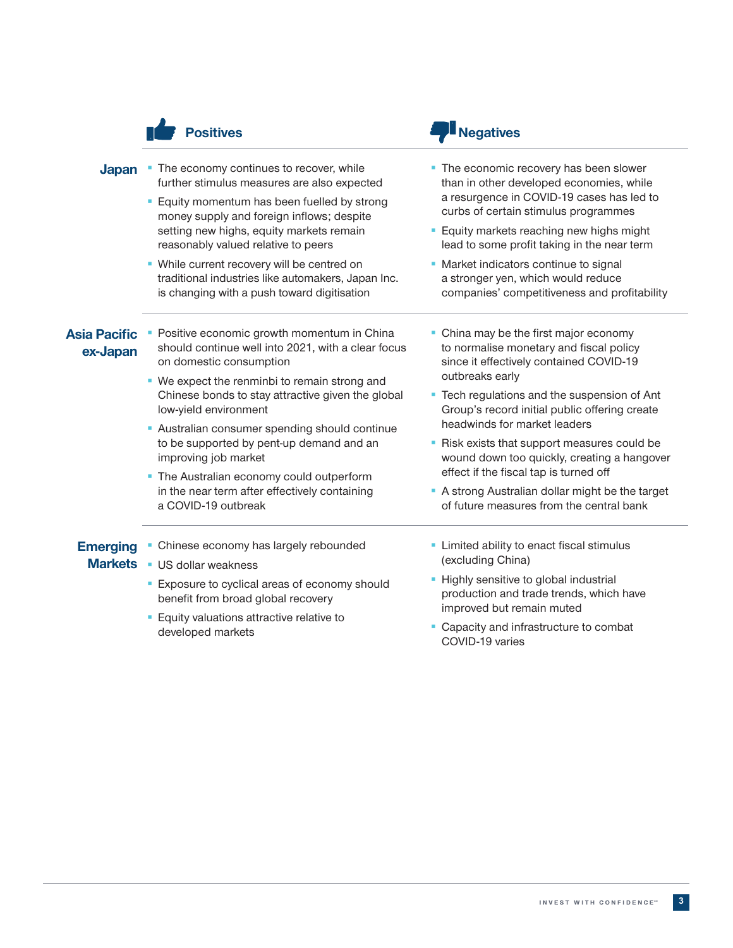|                          | <b>Positives</b>                                                                                                                                                                      | <b>Negatives</b>                                                                                                                                                         |  |  |
|--------------------------|---------------------------------------------------------------------------------------------------------------------------------------------------------------------------------------|--------------------------------------------------------------------------------------------------------------------------------------------------------------------------|--|--|
| <b>Japan</b>             | • The economy continues to recover, while<br>further stimulus measures are also expected<br>• Equity momentum has been fuelled by strong<br>money supply and foreign inflows; despite | • The economic recovery has been slower<br>than in other developed economies, while<br>a resurgence in COVID-19 cases has led to<br>curbs of certain stimulus programmes |  |  |
|                          | setting new highs, equity markets remain<br>reasonably valued relative to peers                                                                                                       | • Equity markets reaching new highs might<br>lead to some profit taking in the near term                                                                                 |  |  |
|                          | • While current recovery will be centred on<br>traditional industries like automakers, Japan Inc.<br>is changing with a push toward digitisation                                      | • Market indicators continue to signal<br>a stronger yen, which would reduce<br>companies' competitiveness and profitability                                             |  |  |
| Asia Pacific<br>ex-Japan | Positive economic growth momentum in China<br>should continue well into 2021, with a clear focus<br>on domestic consumption                                                           | • China may be the first major economy<br>to normalise monetary and fiscal policy<br>since it effectively contained COVID-19                                             |  |  |
|                          | • We expect the renminbi to remain strong and<br>Chinese bonds to stay attractive given the global<br>low-yield environment                                                           | outbreaks early<br>• Tech regulations and the suspension of Ant<br>Group's record initial public offering create<br>headwinds for market leaders                         |  |  |
|                          | • Australian consumer spending should continue<br>to be supported by pent-up demand and an<br>improving job market                                                                    | • Risk exists that support measures could be<br>wound down too quickly, creating a hangover<br>effect if the fiscal tap is turned off                                    |  |  |
|                          | • The Australian economy could outperform<br>in the near term after effectively containing<br>a COVID-19 outbreak                                                                     | A strong Australian dollar might be the target<br>of future measures from the central bank                                                                               |  |  |
| <b>Emerging</b>          | • Chinese economy has largely rebounded                                                                                                                                               | • Limited ability to enact fiscal stimulus<br>(excluding China)                                                                                                          |  |  |
| <b>Markets</b>           | <b>US dollar weakness</b><br><b>Exposure to cyclical areas of economy should</b><br>benefit from broad global recovery                                                                | • Highly sensitive to global industrial<br>production and trade trends, which have                                                                                       |  |  |
|                          | <b>Equity valuations attractive relative to</b><br>developed markets                                                                                                                  | improved but remain muted<br>• Capacity and infrastructure to combat                                                                                                     |  |  |

COVID-19 varies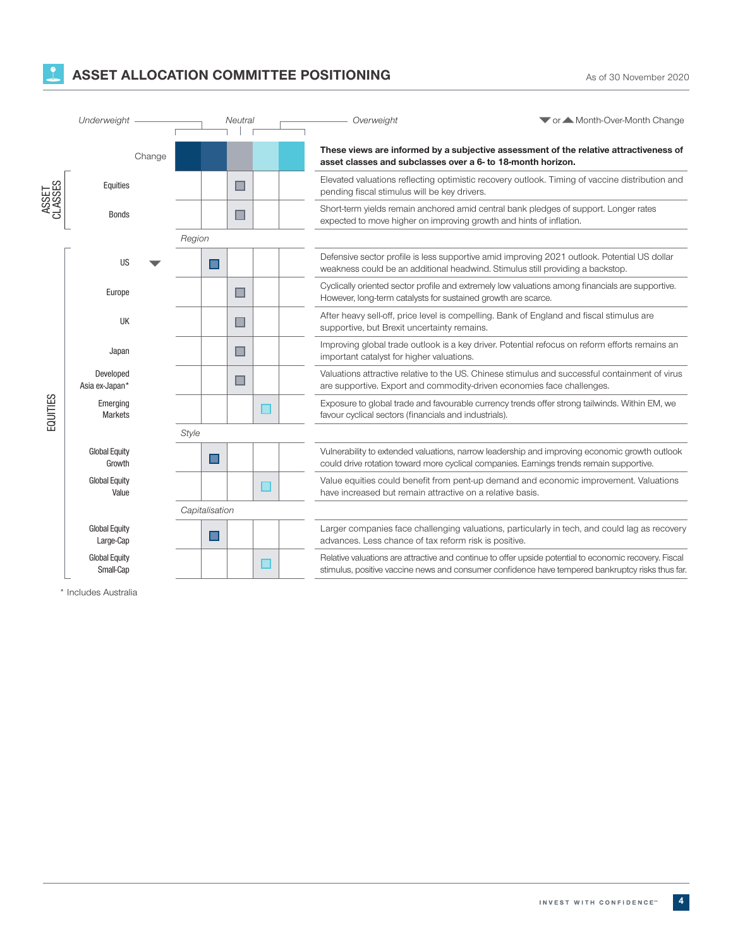## **ASSET ALLOCATION COMMITTEE POSITIONING** As of 30 November 2020

|                  | Underweight                       |        | Neutral        |  | Overweight                                                             | ▼ or ▲ Month-Over-Month Change                                                                                                                                                                             |
|------------------|-----------------------------------|--------|----------------|--|------------------------------------------------------------------------|------------------------------------------------------------------------------------------------------------------------------------------------------------------------------------------------------------|
|                  | Change                            |        |                |  | asset classes and subclasses over a 6- to 18-month horizon.            | These views are informed by a subjective assessment of the relative attractiveness of                                                                                                                      |
| ASSET<br>CLASSES | Equities                          |        |                |  | pending fiscal stimulus will be key drivers.                           | Elevated valuations reflecting optimistic recovery outlook. Timing of vaccine distribution and                                                                                                             |
|                  | <b>Bonds</b>                      |        | п              |  | expected to move higher on improving growth and hints of inflation.    | Short-term yields remain anchored amid central bank pledges of support. Longer rates                                                                                                                       |
|                  |                                   | Region |                |  |                                                                        |                                                                                                                                                                                                            |
| EQUITIES         | US                                |        |                |  |                                                                        | Defensive sector profile is less supportive amid improving 2021 outlook. Potential US dollar<br>weakness could be an additional headwind. Stimulus still providing a backstop.                             |
|                  | Europe                            |        | ш              |  | However, long-term catalysts for sustained growth are scarce.          | Cyclically oriented sector profile and extremely low valuations among financials are supportive.                                                                                                           |
|                  | UK                                |        |                |  | supportive, but Brexit uncertainty remains.                            | After heavy sell-off, price level is compelling. Bank of England and fiscal stimulus are                                                                                                                   |
|                  | Japan                             |        |                |  | important catalyst for higher valuations.                              | Improving global trade outlook is a key driver. Potential refocus on reform efforts remains an                                                                                                             |
|                  | Developed<br>Asia ex-Japan*       |        | $\blacksquare$ |  | are supportive. Export and commodity-driven economies face challenges. | Valuations attractive relative to the US. Chinese stimulus and successful containment of virus                                                                                                             |
|                  | Emerging<br><b>Markets</b>        |        |                |  | favour cyclical sectors (financials and industrials).                  | Exposure to global trade and favourable currency trends offer strong tailwinds. Within EM, we                                                                                                              |
|                  |                                   | Style  |                |  |                                                                        |                                                                                                                                                                                                            |
|                  | <b>Global Equity</b><br>Growth    |        | ■              |  |                                                                        | Vulnerability to extended valuations, narrow leadership and improving economic growth outlook<br>could drive rotation toward more cyclical companies. Earnings trends remain supportive.                   |
|                  | <b>Global Equity</b><br>Value     |        |                |  | have increased but remain attractive on a relative basis.              | Value equities could benefit from pent-up demand and economic improvement. Valuations                                                                                                                      |
|                  |                                   |        | Capitalisation |  |                                                                        |                                                                                                                                                                                                            |
|                  | <b>Global Equity</b><br>Large-Cap |        |                |  | advances. Less chance of tax reform risk is positive.                  | Larger companies face challenging valuations, particularly in tech, and could lag as recovery                                                                                                              |
|                  | <b>Global Equity</b><br>Small-Cap |        |                |  |                                                                        | Relative valuations are attractive and continue to offer upside potential to economic recovery. Fiscal<br>stimulus, positive vaccine news and consumer confidence have tempered bankruptcy risks thus far. |

\* Includes Australia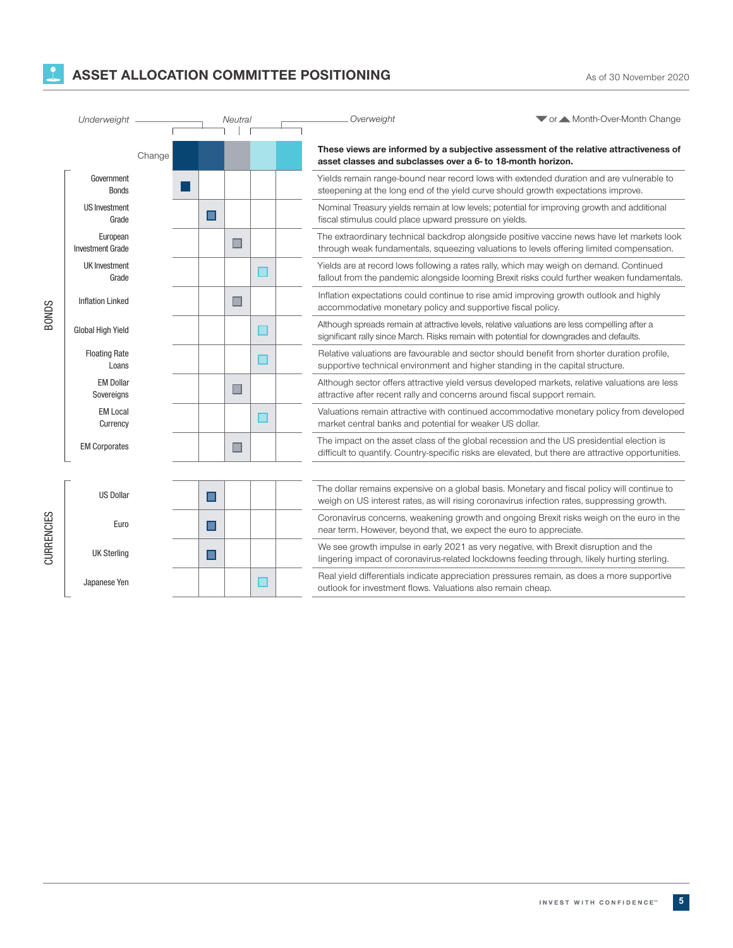### **ASSET ALLOCATION COMMITTEE POSITIONING** As of 30 November 2020

| Underweight  |                                     |        |                | Neutral        |  | Overweight                                                               | ▼ or ▲ Month-Over-Month Change                                                                                                                                                                   |
|--------------|-------------------------------------|--------|----------------|----------------|--|--------------------------------------------------------------------------|--------------------------------------------------------------------------------------------------------------------------------------------------------------------------------------------------|
|              |                                     | Change |                |                |  | asset classes and subclasses over a 6- to 18-month horizon.              | These views are informed by a subjective assessment of the relative attractiveness of                                                                                                            |
| <b>BONDS</b> | Government<br><b>Bonds</b>          |        |                |                |  |                                                                          | Yields remain range-bound near record lows with extended duration and are vulnerable to<br>steepening at the long end of the yield curve should growth expectations improve.                     |
|              | <b>US Investment</b><br>Grade       |        | П              |                |  | fiscal stimulus could place upward pressure on yields.                   | Nominal Treasury yields remain at low levels; potential for improving growth and additional                                                                                                      |
|              | European<br><b>Investment Grade</b> |        |                | ш              |  |                                                                          | The extraordinary technical backdrop alongside positive vaccine news have let markets look<br>through weak fundamentals, squeezing valuations to levels offering limited compensation.           |
|              | UK Investment<br>Grade              |        |                |                |  |                                                                          | Yields are at record lows following a rates rally, which may weigh on demand. Continued<br>fallout from the pandemic alongside looming Brexit risks could further weaken fundamentals.           |
|              | <b>Inflation Linked</b>             |        |                | $\blacksquare$ |  | accommodative monetary policy and supportive fiscal policy.              | Inflation expectations could continue to rise amid improving growth outlook and highly                                                                                                           |
|              | Global High Yield                   |        |                |                |  |                                                                          | Although spreads remain at attractive levels, relative valuations are less compelling after a<br>significant rally since March. Risks remain with potential for downgrades and defaults.         |
|              | <b>Floating Rate</b><br>Loans       |        |                |                |  |                                                                          | Relative valuations are favourable and sector should benefit from shorter duration profile,<br>supportive technical environment and higher standing in the capital structure.                    |
|              | <b>EM Dollar</b><br>Sovereigns      |        |                | E              |  | attractive after recent rally and concerns around fiscal support remain. | Although sector offers attractive yield versus developed markets, relative valuations are less                                                                                                   |
|              | <b>EM Local</b><br>Currency         |        |                |                |  | market central banks and potential for weaker US dollar.                 | Valuations remain attractive with continued accommodative monetary policy from developed                                                                                                         |
|              | <b>EM Corporates</b>                |        |                |                |  |                                                                          | The impact on the asset class of the global recession and the US presidential election is<br>difficult to quantify. Country-specific risks are elevated, but there are attractive opportunities. |
|              |                                     |        |                |                |  |                                                                          |                                                                                                                                                                                                  |
| CURRENCIES   | <b>US Dollar</b>                    |        | $\blacksquare$ |                |  |                                                                          | The dollar remains expensive on a global basis. Monetary and fiscal policy will continue to<br>weigh on US interest rates, as will rising coronavirus infection rates, suppressing growth.       |
|              | Euro                                |        | $\blacksquare$ |                |  | near term. However, beyond that, we expect the euro to appreciate.       | Coronavirus concerns, weakening growth and ongoing Brexit risks weigh on the euro in the                                                                                                         |
|              | <b>UK Sterling</b>                  |        | ш              |                |  |                                                                          | We see growth impulse in early 2021 as very negative, with Brexit disruption and the<br>lingering impact of coronavirus-related lockdowns feeding through, likely hurting sterling.              |
|              | Japanese Yen                        |        |                |                |  | outlook for investment flows. Valuations also remain cheap.              | Real yield differentials indicate appreciation pressures remain, as does a more supportive                                                                                                       |